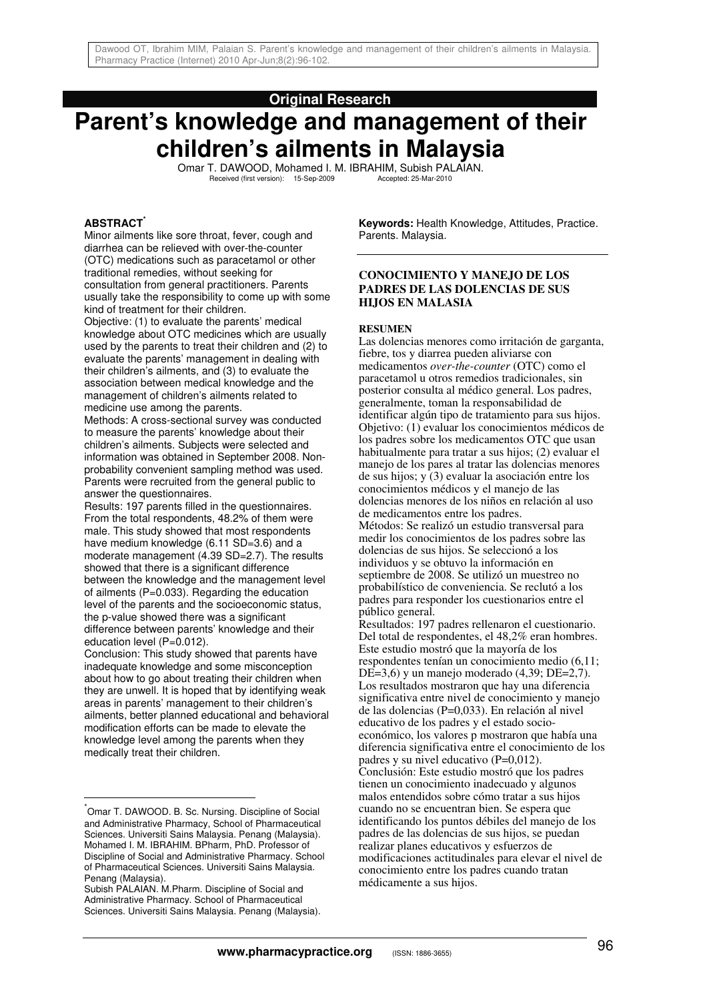# **Original Research**

# **Parent's knowledge and management of their children's ailments in Malaysia**

Omar T. DAWOOD, Mohamed I. M. IBRAHIM, Subish PALAIAN.<br>Received (first version): 15-Seo-2009 Accented: 25-Mar-2010 Received (first version): 15-Sep-2009

## **ABSTRACT\***

Minor ailments like sore throat, fever, cough and diarrhea can be relieved with over-the-counter (OTC) medications such as paracetamol or other traditional remedies, without seeking for consultation from general practitioners. Parents usually take the responsibility to come up with some kind of treatment for their children.

Objective: (1) to evaluate the parents' medical knowledge about OTC medicines which are usually used by the parents to treat their children and (2) to evaluate the parents' management in dealing with their children's ailments, and (3) to evaluate the association between medical knowledge and the management of children's ailments related to medicine use among the parents.

Methods: A cross-sectional survey was conducted to measure the parents' knowledge about their children's ailments. Subjects were selected and information was obtained in September 2008. Nonprobability convenient sampling method was used. Parents were recruited from the general public to answer the questionnaires.

Results: 197 parents filled in the questionnaires. From the total respondents, 48.2% of them were male. This study showed that most respondents have medium knowledge (6.11 SD=3.6) and a moderate management (4.39 SD=2.7). The results showed that there is a significant difference between the knowledge and the management level of ailments (P=0.033). Regarding the education level of the parents and the socioeconomic status, the p-value showed there was a significant difference between parents' knowledge and their education level (P=0.012).

Conclusion: This study showed that parents have inadequate knowledge and some misconception about how to go about treating their children when they are unwell. It is hoped that by identifying weak areas in parents' management to their children's ailments, better planned educational and behavioral modification efforts can be made to elevate the knowledge level among the parents when they medically treat their children.

 $\overline{a}$ 

**Keywords:** Health Knowledge, Attitudes, Practice. Parents. Malaysia.

### **CONOCIMIENTO Y MANEJO DE LOS PADRES DE LAS DOLENCIAS DE SUS HIJOS EN MALASIA**

#### **RESUMEN**

Las dolencias menores como irritación de garganta, fiebre, tos y diarrea pueden aliviarse con medicamentos *over-the-counter* (OTC) como el paracetamol u otros remedios tradicionales, sin posterior consulta al médico general. Los padres, generalmente, toman la responsabilidad de identificar algún tipo de tratamiento para sus hijos. Objetivo: (1) evaluar los conocimientos médicos de los padres sobre los medicamentos OTC que usan habitualmente para tratar a sus hijos; (2) evaluar el manejo de los pares al tratar las dolencias menores de sus hijos; y (3) evaluar la asociación entre los conocimientos médicos y el manejo de las dolencias menores de los niños en relación al uso de medicamentos entre los padres. Métodos: Se realizó un estudio transversal para medir los conocimientos de los padres sobre las dolencias de sus hijos. Se seleccionó a los individuos y se obtuvo la información en septiembre de 2008. Se utilizó un muestreo no probabilístico de conveniencia. Se reclutó a los padres para responder los cuestionarios entre el público general.

Resultados: 197 padres rellenaron el cuestionario. Del total de respondentes, el 48,2% eran hombres. Este estudio mostró que la mayoría de los respondentes tenían un conocimiento medio (6,11; DE=3,6) y un manejo moderado  $(4,39;$  DE=2,7). Los resultados mostraron que hay una diferencia significativa entre nivel de conocimiento y manejo de las dolencias (P=0,033). En relación al nivel educativo de los padres y el estado socioeconómico, los valores p mostraron que había una diferencia significativa entre el conocimiento de los padres y su nivel educativo (P=0,012). Conclusión: Este estudio mostró que los padres tienen un conocimiento inadecuado y algunos malos entendidos sobre cómo tratar a sus hijos cuando no se encuentran bien. Se espera que identificando los puntos débiles del manejo de los padres de las dolencias de sus hijos, se puedan realizar planes educativos y esfuerzos de modificaciones actitudinales para elevar el nivel de conocimiento entre los padres cuando tratan médicamente a sus hijos.

<sup>\*</sup> Omar T. DAWOOD. B. Sc. Nursing. Discipline of Social and Administrative Pharmacy, School of Pharmaceutical Sciences. Universiti Sains Malaysia. Penang (Malaysia). Mohamed I. M. IBRAHIM. BPharm, PhD. Professor of Discipline of Social and Administrative Pharmacy. School of Pharmaceutical Sciences. Universiti Sains Malaysia. Penang (Malaysia).

Subish PALAIAN. M.Pharm. Discipline of Social and Administrative Pharmacy. School of Pharmaceutical Sciences. Universiti Sains Malaysia. Penang (Malaysia).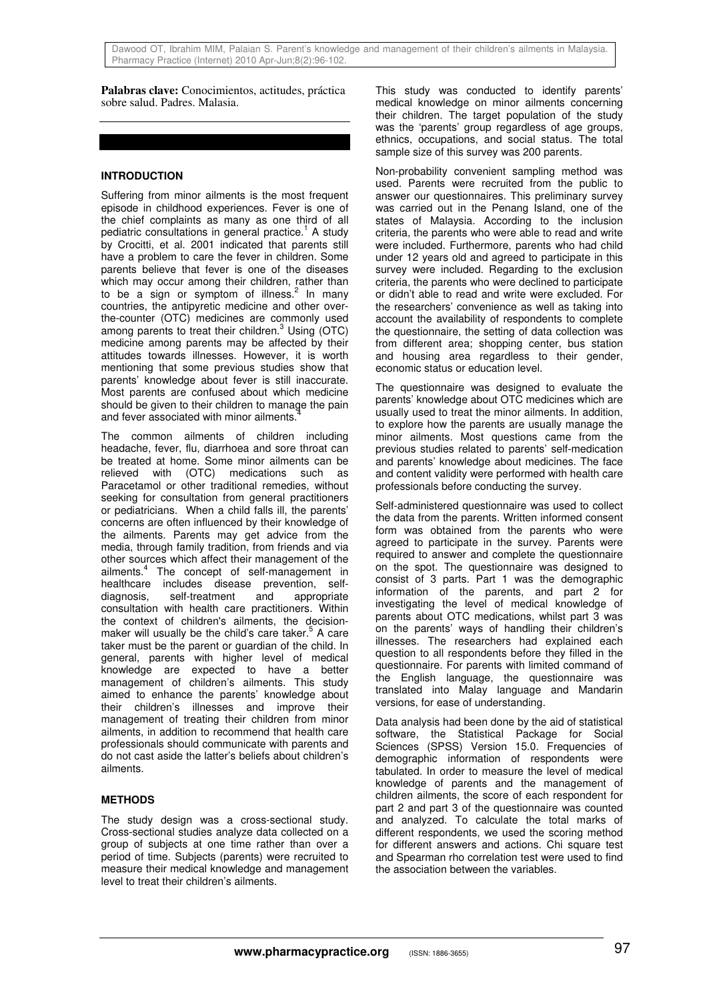**Palabras clave:** Conocimientos, actitudes, práctica sobre salud. Padres. Malasia.

# **INTRODUCTION**

Suffering from minor ailments is the most frequent episode in childhood experiences. Fever is one of the chief complaints as many as one third of all pediatric consultations in general practice.<sup>1</sup> A study by Crocitti, et al. 2001 indicated that parents still have a problem to care the fever in children. Some parents believe that fever is one of the diseases which may occur among their children, rather than to be a sign or symptom of illness.<sup>2</sup> In many countries, the antipyretic medicine and other overthe-counter (OTC) medicines are commonly used among parents to treat their children. $3$  Using (OTC) medicine among parents may be affected by their attitudes towards illnesses. However, it is worth mentioning that some previous studies show that parents' knowledge about fever is still inaccurate. Most parents are confused about which medicine should be given to their children to manage the pain and fever associated with minor ailments.

The common ailments of children including headache, fever, flu, diarrhoea and sore throat can be treated at home. Some minor ailments can be relieved with (OTC) medications such as Paracetamol or other traditional remedies, without seeking for consultation from general practitioners or pediatricians. When a child falls ill, the parents' concerns are often influenced by their knowledge of the ailments. Parents may get advice from the media, through family tradition, from friends and via other sources which affect their management of the ailments.<sup>4</sup> The concept of self-management in healthcare includes disease prevention, selfdiagnosis, self-treatment and appropriate consultation with health care practitioners. Within the context of children's ailments, the decisionmaker will usually be the child's care taker.<sup>5</sup> A care taker must be the parent or guardian of the child. In general, parents with higher level of medical knowledge are expected to have a better management of children's ailments. This study aimed to enhance the parents' knowledge about their children's illnesses and improve their management of treating their children from minor ailments, in addition to recommend that health care professionals should communicate with parents and do not cast aside the latter's beliefs about children's ailments.

# **METHODS**

The study design was a cross-sectional study. Cross-sectional studies analyze data collected on a group of subjects at one time rather than over a period of time. Subjects (parents) were recruited to measure their medical knowledge and management level to treat their children's ailments.

This study was conducted to identify parents' medical knowledge on minor ailments concerning their children. The target population of the study was the 'parents' group regardless of age groups, ethnics, occupations, and social status. The total sample size of this survey was 200 parents.

Non-probability convenient sampling method was used. Parents were recruited from the public to answer our questionnaires. This preliminary survey was carried out in the Penang Island, one of the states of Malaysia. According to the inclusion criteria, the parents who were able to read and write were included. Furthermore, parents who had child under 12 years old and agreed to participate in this survey were included. Regarding to the exclusion criteria, the parents who were declined to participate or didn't able to read and write were excluded. For the researchers' convenience as well as taking into account the availability of respondents to complete the questionnaire, the setting of data collection was from different area; shopping center, bus station and housing area regardless to their gender, economic status or education level.

The questionnaire was designed to evaluate the parents' knowledge about OTC medicines which are usually used to treat the minor ailments. In addition, to explore how the parents are usually manage the minor ailments. Most questions came from the previous studies related to parents' self-medication and parents' knowledge about medicines. The face and content validity were performed with health care professionals before conducting the survey.

Self-administered questionnaire was used to collect the data from the parents. Written informed consent form was obtained from the parents who were agreed to participate in the survey. Parents were required to answer and complete the questionnaire on the spot. The questionnaire was designed to consist of 3 parts. Part 1 was the demographic information of the parents, and part 2 for investigating the level of medical knowledge of parents about OTC medications, whilst part 3 was on the parents' ways of handling their children's illnesses. The researchers had explained each question to all respondents before they filled in the questionnaire. For parents with limited command of the English language, the questionnaire was translated into Malay language and Mandarin versions, for ease of understanding.

Data analysis had been done by the aid of statistical software, the Statistical Package for Social Sciences (SPSS) Version 15.0. Frequencies of demographic information of respondents were tabulated. In order to measure the level of medical knowledge of parents and the management of children ailments, the score of each respondent for part 2 and part 3 of the questionnaire was counted and analyzed. To calculate the total marks of different respondents, we used the scoring method for different answers and actions. Chi square test and Spearman rho correlation test were used to find the association between the variables.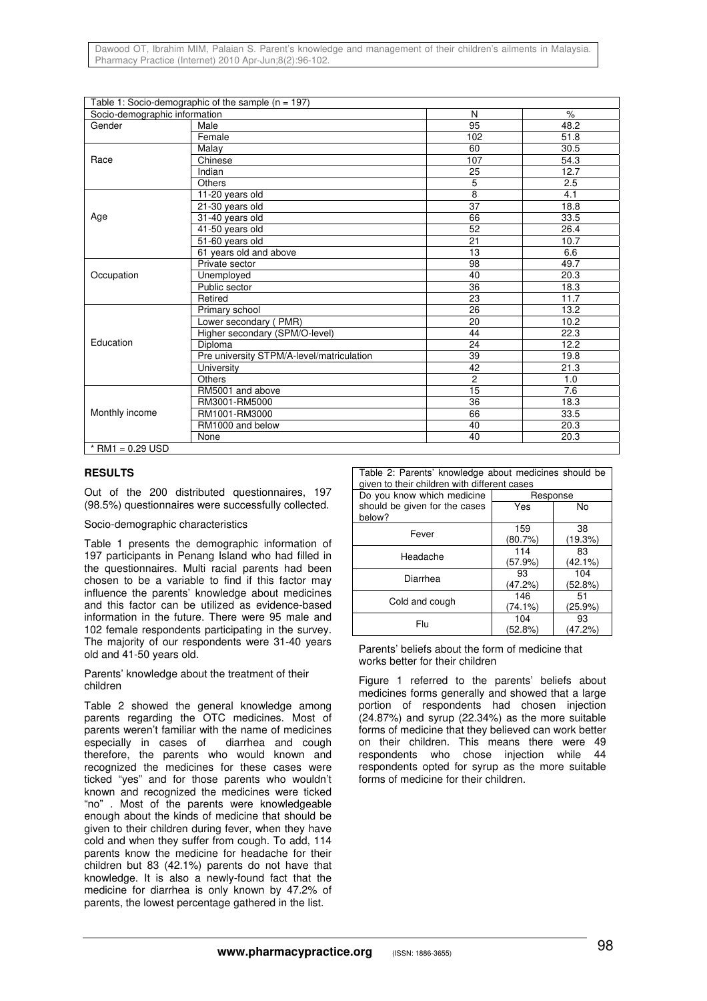| Dawood OT, Ibrahim MIM, Palaian S. Parent's knowledge and management of their children's ailments in Malaysia. |  |  |  |  |  |
|----------------------------------------------------------------------------------------------------------------|--|--|--|--|--|
| Pharmacy Practice (Internet) 2010 Apr-Jun:8(2):96-102.                                                         |  |  |  |  |  |

|                               | Table 1: Socio-demographic of the sample ( $n = 197$ ) |                |      |
|-------------------------------|--------------------------------------------------------|----------------|------|
| Socio-demographic information |                                                        | N              | $\%$ |
| Gender                        | Male                                                   | 95             | 48.2 |
|                               | Female                                                 | 102            | 51.8 |
|                               | Malay                                                  | 60             | 30.5 |
| Race                          | Chinese                                                | 107            | 54.3 |
|                               | Indian                                                 | 25             | 12.7 |
|                               | Others                                                 | 5              | 2.5  |
|                               | 11-20 years old                                        | 8              | 4.1  |
|                               | 21-30 years old                                        | 37             | 18.8 |
| Age                           | 31-40 years old                                        | 66             | 33.5 |
|                               | 41-50 years old                                        | 52             | 26.4 |
|                               | 51-60 years old                                        | 21             | 10.7 |
|                               | 61 years old and above                                 | 13             | 6.6  |
|                               | Private sector                                         | 98             | 49.7 |
| Occupation                    | Unemployed                                             | 40             | 20.3 |
|                               | Public sector                                          | 36             | 18.3 |
|                               | Retired                                                | 23             | 11.7 |
|                               | Primary school                                         | 26             | 13.2 |
|                               | Lower secondary (PMR)                                  | 20             | 10.2 |
|                               | Higher secondary (SPM/O-level)                         | 44             | 22.3 |
| Education                     | Diploma                                                | 24             | 12.2 |
|                               | Pre university STPM/A-level/matriculation              | 39             | 19.8 |
|                               | University                                             | 42             | 21.3 |
|                               | Others                                                 | $\overline{c}$ | 1.0  |
|                               | RM5001 and above                                       | 15             | 7.6  |
|                               | RM3001-RM5000                                          | 36             | 18.3 |
| Monthly income                | RM1001-RM3000                                          | 66             | 33.5 |
|                               | RM1000 and below                                       | 40             | 20.3 |
|                               | None                                                   | 40             | 20.3 |
| * RM1 = $0.29$ USD            |                                                        |                |      |

#### **RESULTS**

Out of the 200 distributed questionnaires, 197 (98.5%) questionnaires were successfully collected.

Socio-demographic characteristics

Table 1 presents the demographic information of 197 participants in Penang Island who had filled in the questionnaires. Multi racial parents had been chosen to be a variable to find if this factor may influence the parents' knowledge about medicines and this factor can be utilized as evidence-based information in the future. There were 95 male and 102 female respondents participating in the survey. The majority of our respondents were 31-40 years old and 41-50 years old.

Parents' knowledge about the treatment of their children

Table 2 showed the general knowledge among parents regarding the OTC medicines. Most of parents weren't familiar with the name of medicines especially in cases of diarrhea and cough therefore, the parents who would known and recognized the medicines for these cases were ticked "yes" and for those parents who wouldn't known and recognized the medicines were ticked "no" . Most of the parents were knowledgeable enough about the kinds of medicine that should be given to their children during fever, when they have cold and when they suffer from cough. To add, 114 parents know the medicine for headache for their children but 83 (42.1%) parents do not have that knowledge. It is also a newly-found fact that the medicine for diarrhea is only known by 47.2% of parents, the lowest percentage gathered in the list.

Table 2: Parents' knowledge about medicines should be

| given to their children with different cases |          |            |  |  |  |  |  |
|----------------------------------------------|----------|------------|--|--|--|--|--|
| Do you know which medicine                   | Response |            |  |  |  |  |  |
| should be given for the cases                | Yes      | No         |  |  |  |  |  |
| below?                                       |          |            |  |  |  |  |  |
| Fever                                        | 159      | 38         |  |  |  |  |  |
|                                              | (80.7%)  | (19.3%)    |  |  |  |  |  |
| Headache                                     | 114      | 83         |  |  |  |  |  |
|                                              | (57.9%)  | (42.1%)    |  |  |  |  |  |
| Diarrhea                                     | 93       | 104        |  |  |  |  |  |
|                                              | (47.2%)  | (52.8%)    |  |  |  |  |  |
|                                              | 146      | 51         |  |  |  |  |  |
| Cold and cough                               | (74.1%)  | $(25.9\%)$ |  |  |  |  |  |
| Flu                                          | 104      | 93         |  |  |  |  |  |
|                                              | (52.8%)  | (47.2%)    |  |  |  |  |  |

Parents' beliefs about the form of medicine that works better for their children

Figure 1 referred to the parents' beliefs about medicines forms generally and showed that a large portion of respondents had chosen injection (24.87%) and syrup (22.34%) as the more suitable forms of medicine that they believed can work better on their children. This means there were 49 respondents who chose injection while 44 respondents opted for syrup as the more suitable forms of medicine for their children.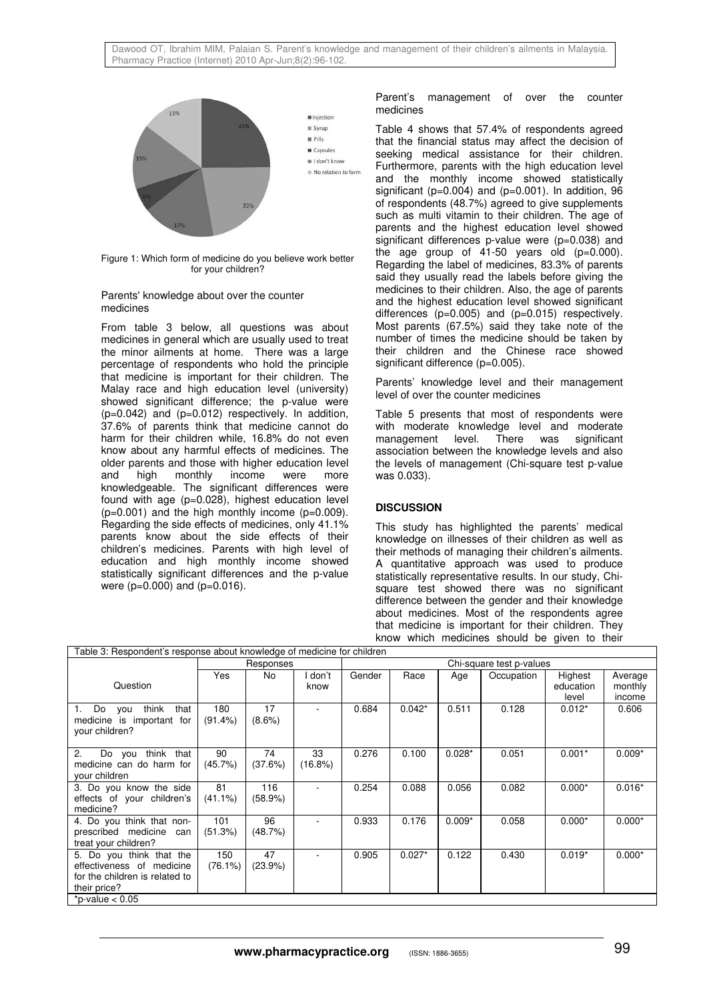

Figure 1: Which form of medicine do you believe work better for your children?

#### Parents' knowledge about over the counter medicines

From table 3 below, all questions was about medicines in general which are usually used to treat the minor ailments at home. There was a large percentage of respondents who hold the principle that medicine is important for their children. The Malay race and high education level (university) showed significant difference; the p-value were  $(p=0.042)$  and  $(p=0.012)$  respectively. In addition, 37.6% of parents think that medicine cannot do harm for their children while, 16.8% do not even know about any harmful effects of medicines. The older parents and those with higher education level monthly knowledgeable. The significant differences were found with age (p=0.028), highest education level  $(p=0.001)$  and the high monthly income  $(p=0.009)$ . Regarding the side effects of medicines, only 41.1% parents know about the side effects of their children's medicines. Parents with high level of education and high monthly income showed statistically significant differences and the p-value were ( $p=0.000$ ) and ( $p=0.016$ ).

Parent's management of over the counter medicines

Table 4 shows that 57.4% of respondents agreed that the financial status may affect the decision of seeking medical assistance for their children. Furthermore, parents with the high education level and the monthly income showed statistically significant ( $p=0.004$ ) and ( $p=0.001$ ). In addition, 96 of respondents (48.7%) agreed to give supplements such as multi vitamin to their children. The age of parents and the highest education level showed significant differences p-value were (p=0.038) and the age group of  $41-50$  years old  $(p=0.000)$ . Regarding the label of medicines, 83.3% of parents said they usually read the labels before giving the medicines to their children. Also, the age of parents and the highest education level showed significant differences (p=0.005) and (p=0.015) respectively. Most parents (67.5%) said they take note of the number of times the medicine should be taken by their children and the Chinese race showed significant difference (p=0.005).

Parents' knowledge level and their management level of over the counter medicines

Table 5 presents that most of respondents were with moderate knowledge level and moderate management level. There was significant association between the knowledge levels and also the levels of management (Chi-square test p-value was 0.033).

# **DISCUSSION**

This study has highlighted the parents' medical knowledge on illnesses of their children as well as their methods of managing their children's ailments. A quantitative approach was used to produce statistically representative results. In our study, Chisquare test showed there was no significant difference between the gender and their knowledge about medicines. Most of the respondents agree that medicine is important for their children. They know which medicines should be given to their

| Table 3: Respondent's response about knowledge of medicine for children |            |           |            |                          |          |          |            |           |          |  |
|-------------------------------------------------------------------------|------------|-----------|------------|--------------------------|----------|----------|------------|-----------|----------|--|
|                                                                         | Responses  |           |            | Chi-square test p-values |          |          |            |           |          |  |
|                                                                         | Yes        | <b>No</b> | don't      | Gender                   | Race     | Age      | Occupation | Highest   | Average  |  |
| Question                                                                |            |           | know       |                          |          |          |            | education | monthly  |  |
|                                                                         |            |           |            |                          |          |          |            | level     | income   |  |
| think<br>Do<br>that<br>you<br>1.                                        | 180        | 17        |            | 0.684                    | $0.042*$ | 0.511    | 0.128      | $0.012*$  | 0.606    |  |
| medicine is important for                                               | $(91.4\%)$ | $(8.6\%)$ |            |                          |          |          |            |           |          |  |
| your children?                                                          |            |           |            |                          |          |          |            |           |          |  |
|                                                                         |            |           |            |                          |          |          |            |           |          |  |
| 2.<br>think that<br>Do you                                              | 90         | 74        | 33         | 0.276                    | 0.100    | $0.028*$ | 0.051      | $0.001*$  | $0.009*$ |  |
| medicine can do harm for                                                | (45.7%)    | (37.6%)   | $(16.8\%)$ |                          |          |          |            |           |          |  |
| vour children                                                           |            |           |            |                          |          |          |            |           |          |  |
| 3. Do you know the side                                                 | 81         | 116       |            | 0.254                    | 0.088    | 0.056    | 0.082      | $0.000*$  | $0.016*$ |  |
| effects of your children's                                              | $(41.1\%)$ | (58.9%)   |            |                          |          |          |            |           |          |  |
| medicine?                                                               |            |           |            |                          |          |          |            |           |          |  |
| 4. Do you think that non-                                               | 101        | 96        |            | 0.933                    | 0.176    | $0.009*$ | 0.058      | $0.000*$  | $0.000*$ |  |
| prescribed medicine<br>can                                              | (51.3%)    | (48.7%)   |            |                          |          |          |            |           |          |  |
| treat your children?                                                    |            |           |            |                          |          |          |            |           |          |  |
| 5. Do you think that the                                                | 150        | 47        |            | 0.905                    | $0.027*$ | 0.122    | 0.430      | $0.019*$  | $0.000*$ |  |
| effectiveness of medicine                                               | (76.1%)    | (23.9%)   |            |                          |          |          |            |           |          |  |
| for the children is related to                                          |            |           |            |                          |          |          |            |           |          |  |
| their price?                                                            |            |           |            |                          |          |          |            |           |          |  |
| *p-value $< 0.05$                                                       |            |           |            |                          |          |          |            |           |          |  |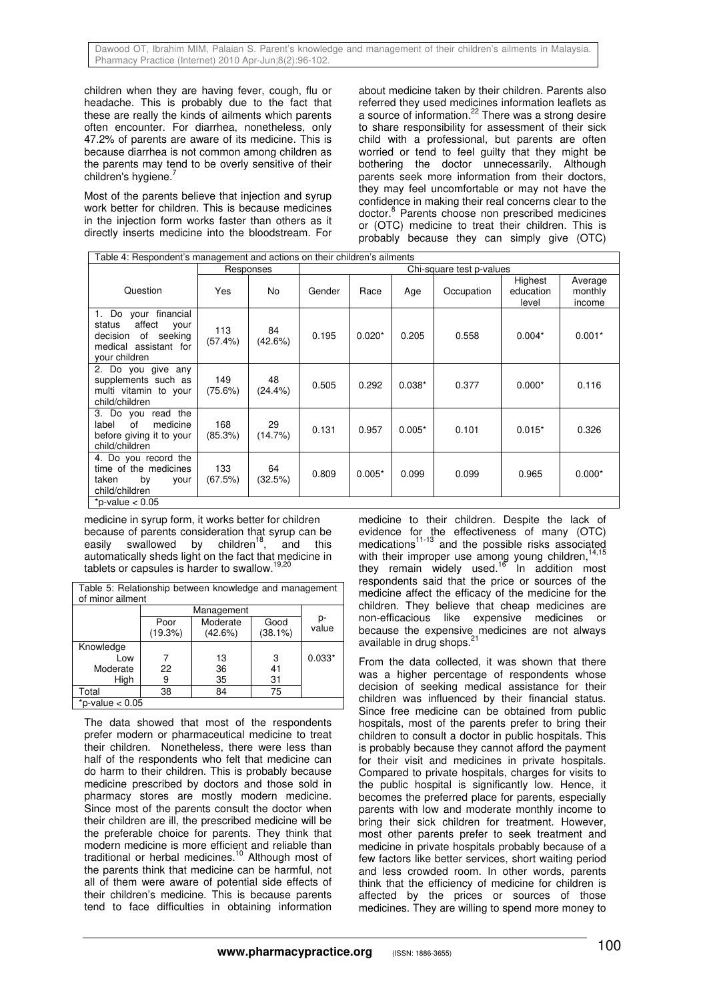children when they are having fever, cough, flu or headache. This is probably due to the fact that these are really the kinds of ailments which parents often encounter. For diarrhea, nonetheless, only 47.2% of parents are aware of its medicine. This is because diarrhea is not common among children as the parents may tend to be overly sensitive of their children's hygiene.

Most of the parents believe that injection and syrup work better for children. This is because medicines in the injection form works faster than others as it directly inserts medicine into the bloodstream. For

about medicine taken by their children. Parents also referred they used medicines information leaflets as a source of information.<sup>22</sup> There was a strong desire to share responsibility for assessment of their sick child with a professional, but parents are often worried or tend to feel guilty that they might be bothering the doctor unnecessarily. Although parents seek more information from their doctors, they may feel uncomfortable or may not have the confidence in making their real concerns clear to the doctor.<sup>8</sup> Parents choose non prescribed medicines or (OTC) medicine to treat their children. This is probably because they can simply give (OTC)

| Table 4: Respondent's management and actions on their children's ailments                                                     |                |                  |                          |          |          |            |                               |                              |  |  |
|-------------------------------------------------------------------------------------------------------------------------------|----------------|------------------|--------------------------|----------|----------|------------|-------------------------------|------------------------------|--|--|
|                                                                                                                               |                | Responses        | Chi-square test p-values |          |          |            |                               |                              |  |  |
| Question                                                                                                                      | Yes            | No.              | Gender                   | Race     | Age      | Occupation | Highest<br>education<br>level | Average<br>monthly<br>income |  |  |
| your financial<br>Do<br>1.<br>affect<br>status<br>your<br>of seeking<br>decision<br>medical<br>assistant for<br>your children | 113<br>(57.4%) | 84<br>(42.6%)    | 0.195                    | $0.020*$ | 0.205    | 0.558      | $0.004*$                      | $0.001*$                     |  |  |
| 2. Do you give any<br>supplements such as<br>multi vitamin to your<br>child/children                                          | 149<br>(75.6%) | 48<br>$(24.4\%)$ | 0.505                    | 0.292    | $0.038*$ | 0.377      | $0.000*$                      | 0.116                        |  |  |
| 3. Do you read the<br>of<br>label<br>medicine<br>before giving it to your<br>child/children                                   | 168<br>(85.3%) | 29<br>(14.7%)    | 0.131                    | 0.957    | $0.005*$ | 0.101      | $0.015*$                      | 0.326                        |  |  |
| 4. Do you record the<br>time of the medicines<br>taken<br>by<br>your<br>child/children                                        | 133<br>(67.5%) | 64<br>(32.5%)    | 0.809                    | $0.005*$ | 0.099    | 0.099      | 0.965                         | $0.000*$                     |  |  |
| *p-value $< 0.05$                                                                                                             |                |                  |                          |          |          |            |                               |                              |  |  |

medicine in syrup form, it works better for children because of parents consideration that syrup can be easily swallowed by children<sup>18</sup>, and this automatically sheds light on the fact that medicine in tablets or capsules is harder to swallow.<sup>1</sup>

Table 5: Relationship between knowledge and management of minor ailment

|                   | Poor<br>(19.3%) | Moderate<br>(42.6%) | Good<br>$(38.1\%)$ | p-<br>value |  |  |  |
|-------------------|-----------------|---------------------|--------------------|-------------|--|--|--|
| Knowledge         |                 |                     |                    |             |  |  |  |
| Low               |                 | 13                  | 3                  | $0.033*$    |  |  |  |
| Moderate          | 22              | 36                  | 41                 |             |  |  |  |
| High              | 9               | 35                  | 31                 |             |  |  |  |
| Total             | 38              | 84                  | 75                 |             |  |  |  |
| *p-value $< 0.05$ |                 |                     |                    |             |  |  |  |

The data showed that most of the respondents prefer modern or pharmaceutical medicine to treat their children. Nonetheless, there were less than half of the respondents who felt that medicine can do harm to their children. This is probably because medicine prescribed by doctors and those sold in pharmacy stores are mostly modern medicine. Since most of the parents consult the doctor when their children are ill, the prescribed medicine will be the preferable choice for parents. They think that modern medicine is more efficient and reliable than traditional or herbal medicines.<sup>10</sup> Although most of the parents think that medicine can be harmful, not all of them were aware of potential side effects of their children's medicine. This is because parents tend to face difficulties in obtaining information

medicine to their children. Despite the lack of evidence for the effectiveness of many (OTC) medications<sup>11-13</sup> and the possible risks associated with their improper use among young children,  $14,15$ they remain widely used.<sup>16</sup> In addition most respondents said that the price or sources of the medicine affect the efficacy of the medicine for the children. They believe that cheap medicines are non-efficacious like expensive medicines or because the expensive medicines are not always available in drug shops.<sup>21</sup>

From the data collected, it was shown that there was a higher percentage of respondents whose decision of seeking medical assistance for their children was influenced by their financial status. Since free medicine can be obtained from public hospitals, most of the parents prefer to bring their children to consult a doctor in public hospitals. This is probably because they cannot afford the payment for their visit and medicines in private hospitals. Compared to private hospitals, charges for visits to the public hospital is significantly low. Hence, it becomes the preferred place for parents, especially parents with low and moderate monthly income to bring their sick children for treatment. However, most other parents prefer to seek treatment and medicine in private hospitals probably because of a few factors like better services, short waiting period and less crowded room. In other words, parents think that the efficiency of medicine for children is affected by the prices or sources of those medicines. They are willing to spend more money to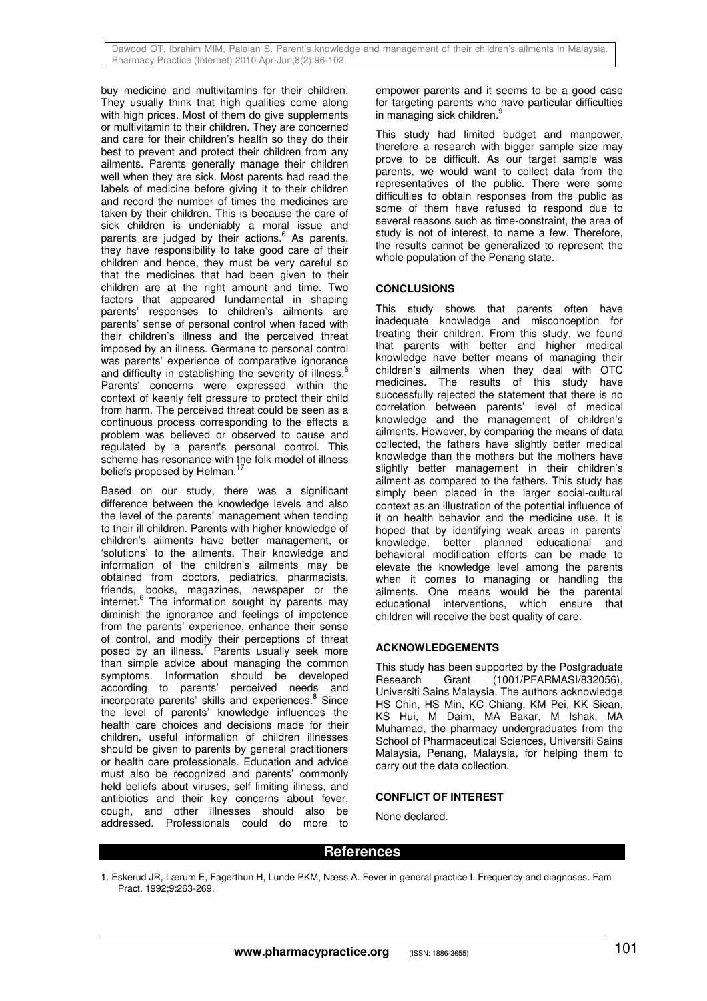buy medicine and multivitamins for their children. They usually think that high qualities come along with high prices. Most of them do give supplements or multivitamin to their children. They are concerned and care for their children's health so they do their best to prevent and protect their children from any ailments. Parents generally manage their children well when they are sick. Most parents had read the labels of medicine before giving it to their children and record the number of times the medicines are taken by their children. This is because the care of sick children is undeniably a moral issue and parents are judged by their actions.<sup>6</sup> As parents, they have responsibility to take good care of their children and hence, they must be very careful so that the medicines that had been given to their children are at the right amount and time. Two factors that appeared fundamental in shaping parents' responses to children's ailments are parents' sense of personal control when faced with their children's illness and the perceived threat imposed by an illness. Germane to personal control was parents' experience of comparative ignorance and difficulty in establishing the severity of illness. Parents' concerns were expressed within the context of keenly felt pressure to protect their child from harm. The perceived threat could be seen as a continuous process corresponding to the effects a problem was believed or observed to cause and regulated by a parent's personal control. This scheme has resonance with the folk model of illness beliefs proposed by Helman.<sup>17</sup>

Based on our study, there was a significant difference between the knowledge levels and also the level of the parents' management when tending to their ill children. Parents with higher knowledge of children's ailments have better management, or 'solutions' to the ailments. Their knowledge and information of the children's ailments may be obtained from doctors, pediatrics, pharmacists, friends, books, magazines, newspaper or the internet.<sup>6</sup> The information sought by parents may diminish the ignorance and feelings of impotence from the parents' experience, enhance their sense of control, and modify their perceptions of threat posed by an illness. $<sup>7</sup>$  Parents usually seek more</sup> than simple advice about managing the common symptoms. Information should be developed according to parents' perceived needs and incorporate parents' skills and experiences.<sup>8</sup> Since the level of parents' knowledge influences the health care choices and decisions made for their children, useful information of children illnesses should be given to parents by general practitioners or health care professionals. Education and advice must also be recognized and parents' commonly held beliefs about viruses, self limiting illness, and antibiotics and their key concerns about fever, cough, and other illnesses should also be addressed. Professionals could do more to

empower parents and it seems to be a good case for targeting parents who have particular difficulties in managing sick children.<sup>9</sup>

This study had limited budget and manpower, therefore a research with bigger sample size may prove to be difficult. As our target sample was parents, we would want to collect data from the representatives of the public. There were some difficulties to obtain responses from the public as some of them have refused to respond due to several reasons such as time-constraint, the area of study is not of interest, to name a few. Therefore, the results cannot be generalized to represent the whole population of the Penang state.

## **CONCLUSIONS**

This study shows that parents often have inadequate knowledge and misconception for treating their children. From this study, we found that parents with better and higher medical knowledge have better means of managing their children's ailments when they deal with OTC medicines. The results of this study have successfully rejected the statement that there is no correlation between parents' level of medical knowledge and the management of children's ailments. However, by comparing the means of data collected, the fathers have slightly better medical knowledge than the mothers but the mothers have slightly better management in their children's ailment as compared to the fathers. This study has simply been placed in the larger social-cultural context as an illustration of the potential influence of it on health behavior and the medicine use. It is hoped that by identifying weak areas in parents' knowledge, better planned educational and behavioral modification efforts can be made to elevate the knowledge level among the parents when it comes to managing or handling the ailments. One means would be the parental educational interventions, which ensure that children will receive the best quality of care.

# **ACKNOWLEDGEMENTS**

This study has been supported by the Postgraduate Research Grant (1001/PFARMASI/832056), Universiti Sains Malaysia. The authors acknowledge HS Chin, HS Min, KC Chiang, KM Pei, KK Siean, KS Hui, M Daim, MA Bakar, M Ishak, MA Muhamad, the pharmacy undergraduates from the School of Pharmaceutical Sciences, Universiti Sains Malaysia, Penang, Malaysia, for helping them to carry out the data collection.

## **CONFLICT OF INTEREST**

None declared.

## **References**

1. Eskerud JR, Lærum E, Fagerthun H, Lunde PKM, Næss A. Fever in general practice I. Frequency and diagnoses. Fam Pract. 1992;9:263-269.